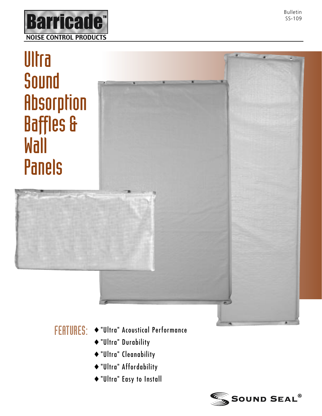

## **Ultra** Sound **Absorption** Baffles & Wall Panels

- FEATURES: ♦ "Ultra" Acoustical Performance
	- ♦ "Ultra" Durability
	- ♦ "Ultra" Cleanability
	- ♦ "Ultra" Affordability
	- ♦ "Ultra" Easy to Install